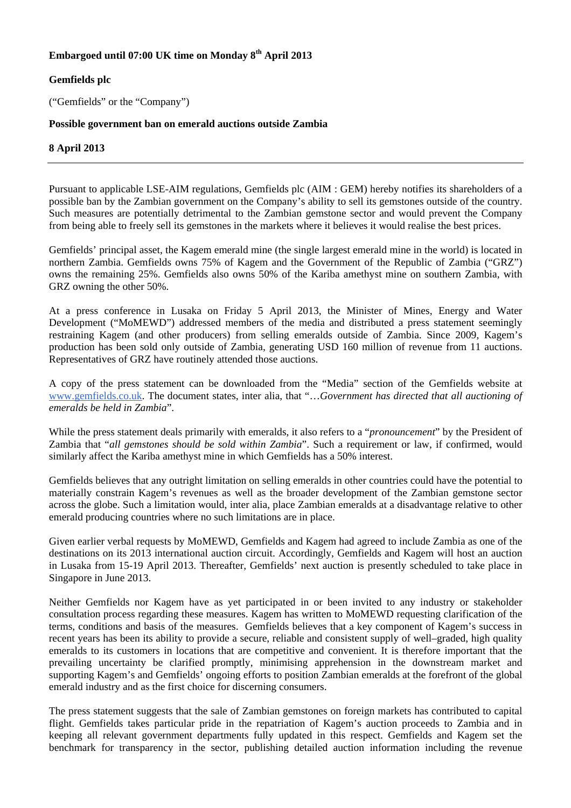# **Embargoed until 07:00 UK time on Monday 8th April 2013**

## **Gemfields plc**

("Gemfields" or the "Company")

### **Possible government ban on emerald auctions outside Zambia**

## **8 April 2013**

Pursuant to applicable LSE-AIM regulations, Gemfields plc (AIM : GEM) hereby notifies its shareholders of a possible ban by the Zambian government on the Company's ability to sell its gemstones outside of the country. Such measures are potentially detrimental to the Zambian gemstone sector and would prevent the Company from being able to freely sell its gemstones in the markets where it believes it would realise the best prices.

Gemfields' principal asset, the Kagem emerald mine (the single largest emerald mine in the world) is located in northern Zambia. Gemfields owns 75% of Kagem and the Government of the Republic of Zambia ("GRZ") owns the remaining 25%. Gemfields also owns 50% of the Kariba amethyst mine on southern Zambia, with GRZ owning the other 50%.

At a press conference in Lusaka on Friday 5 April 2013, the Minister of Mines, Energy and Water Development ("MoMEWD") addressed members of the media and distributed a press statement seemingly restraining Kagem (and other producers) from selling emeralds outside of Zambia. Since 2009, Kagem's production has been sold only outside of Zambia, generating USD 160 million of revenue from 11 auctions. Representatives of GRZ have routinely attended those auctions.

A copy of the press statement can be downloaded from the "Media" section of the Gemfields website at www.gemfields.co.uk. The document states, inter alia, that "…*Government has directed that all auctioning of emeralds be held in Zambia*".

While the press statement deals primarily with emeralds, it also refers to a "*pronouncement*" by the President of Zambia that "*all gemstones should be sold within Zambia*". Such a requirement or law, if confirmed, would similarly affect the Kariba amethyst mine in which Gemfields has a 50% interest.

Gemfields believes that any outright limitation on selling emeralds in other countries could have the potential to materially constrain Kagem's revenues as well as the broader development of the Zambian gemstone sector across the globe. Such a limitation would, inter alia, place Zambian emeralds at a disadvantage relative to other emerald producing countries where no such limitations are in place.

Given earlier verbal requests by MoMEWD, Gemfields and Kagem had agreed to include Zambia as one of the destinations on its 2013 international auction circuit. Accordingly, Gemfields and Kagem will host an auction in Lusaka from 15-19 April 2013. Thereafter, Gemfields' next auction is presently scheduled to take place in Singapore in June 2013.

Neither Gemfields nor Kagem have as yet participated in or been invited to any industry or stakeholder consultation process regarding these measures. Kagem has written to MoMEWD requesting clarification of the terms, conditions and basis of the measures. Gemfields believes that a key component of Kagem's success in recent years has been its ability to provide a secure, reliable and consistent supply of well–graded, high quality emeralds to its customers in locations that are competitive and convenient. It is therefore important that the prevailing uncertainty be clarified promptly, minimising apprehension in the downstream market and supporting Kagem's and Gemfields' ongoing efforts to position Zambian emeralds at the forefront of the global emerald industry and as the first choice for discerning consumers.

The press statement suggests that the sale of Zambian gemstones on foreign markets has contributed to capital flight. Gemfields takes particular pride in the repatriation of Kagem's auction proceeds to Zambia and in keeping all relevant government departments fully updated in this respect. Gemfields and Kagem set the benchmark for transparency in the sector, publishing detailed auction information including the revenue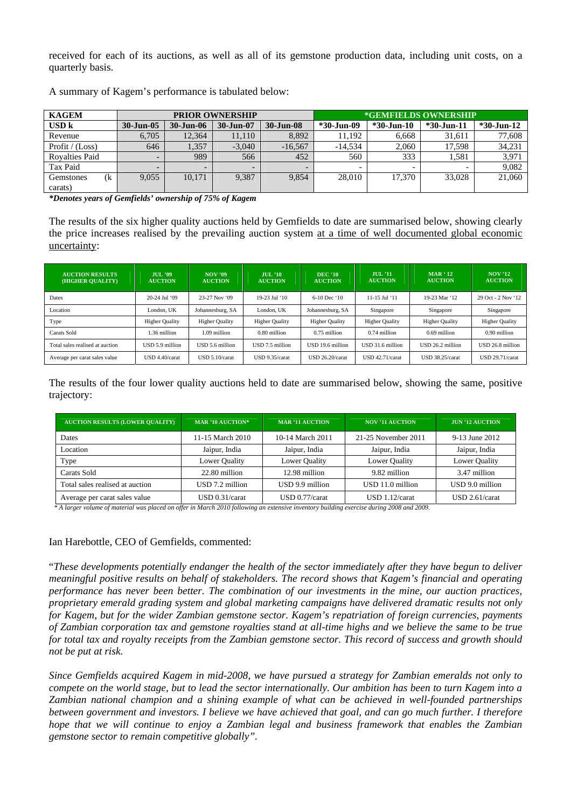received for each of its auctions, as well as all of its gemstone production data, including unit costs, on a quarterly basis.

| <b>KAGEM</b>          | <b>PRIOR OWNERSHIP</b> |           |                          |           | *GEMFIELDS OWNERSHIP |                          |                |               |
|-----------------------|------------------------|-----------|--------------------------|-----------|----------------------|--------------------------|----------------|---------------|
| <b>USD</b> k          | $30 - Jun - 05$        | 30-Jun-06 | 30-Jun-07                | 30-Jun-08 | *30-Jun-09           | $*30$ -Jun-10            | $*30 - Jun-11$ | $*30$ -Jun-12 |
| Revenue               | 6.705                  | 12.364    | 11,110                   | 8.892     | 11.192               | 6,668                    | 31,611         | 77,608        |
| Profit / $(Loss)$     | 646                    | 1,357     | $-3.040$                 | $-16,567$ | $-14.534$            | 2,060                    | 17,598         | 34,231        |
| <b>Royalties Paid</b> |                        | 989       | 566                      | 452       | 560                  | 333                      | 1.581          | 3,971         |
| Tax Paid              |                        |           | $\overline{\phantom{0}}$ |           |                      | $\overline{\phantom{0}}$ |                | 9.082         |
| (k)<br>Gemstones      | 9.055                  | 10.171    | 9.387                    | 9.854     | 28,010               | 17.370                   | 33,028         | 21,060        |
| carats)               |                        |           |                          |           |                      |                          |                |               |

A summary of Kagem's performance is tabulated below:

*\*Denotes years of Gemfields' ownership of 75% of Kagem* 

The results of the six higher quality auctions held by Gemfields to date are summarised below, showing clearly the price increases realised by the prevailing auction system at a time of well documented global economic uncertainty:

| <b>AUCTION RESULTS</b><br>(HIGHER OUALITY) | <b>JUL</b> '09<br><b>AUCTION</b> | <b>NOV</b> '09<br><b>AUCTION</b> | $JU/L$ $^{\prime}10$<br><b>AUCTION</b> | <b>DEC</b> '10<br><b>AUCTION</b> | $JUIL$ <sup><math>11</math></sup><br><b>AUCTION</b> | $\text{MAR}$ ' 12<br><b>AUCTION</b> | <b>NOV</b> '12<br><b>AUCTION</b> |
|--------------------------------------------|----------------------------------|----------------------------------|----------------------------------------|----------------------------------|-----------------------------------------------------|-------------------------------------|----------------------------------|
| Dates                                      | 20-24 Jul '09                    | 23-27 Nov '09                    | $19-23$ Jul '10                        | $6-10$ Dec $10$                  | $11-15$ Jul '11                                     | 19-23 Mar '12                       | 29 Oct - 2 Nov '12               |
| Location                                   | London, UK                       | Johannesburg, SA                 | London. UK                             | Johannesburg, SA                 | Singapore                                           | Singapore                           | Singapore                        |
| Type                                       | <b>Higher Quality</b>            | <b>Higher Quality</b>            | <b>Higher Quality</b>                  | <b>Higher Quality</b>            | <b>Higher Quality</b>                               | <b>Higher Quality</b>               | <b>Higher Quality</b>            |
| Carats Sold                                | 1.36 million                     | 1.09 million                     | 0.80 million                           | $0.75$ million                   | 0.74 million                                        | $0.69$ million                      | 0.90 million                     |
| Total sales realised at auction            | USD 5.9 million                  | USD 5.6 million                  | USD 7.5 million                        | USD 19.6 million                 | USD 31.6 million                                    | USD 26.2 million                    | USD 26.8 million                 |
| Average per carat sales value              | USD 4.40/carat                   | USD 5.10/carat                   | USD 9.35/carat                         | USD 26.20/carat                  | USD 42.71/carat                                     | USD 38.25/carat                     | USD 29.71/carat                  |

The results of the four lower quality auctions held to date are summarised below, showing the same, positive trajectory:

| <b>AUCTION RESULTS (LOWER QUALITY)</b> | <b>MAR '10 AUCTION*</b> | <b>MAR '11 AUCTION</b> | <b>NOV '11 AUCTION</b> | <b>JUN '12 AUCTION</b> |
|----------------------------------------|-------------------------|------------------------|------------------------|------------------------|
| Dates                                  | 11-15 March 2010        | 10-14 March 2011       | 21-25 November 2011    | 9-13 June 2012         |
| Location                               | Jaipur, India           | Jaipur, India          | Jaipur, India          | Jaipur, India          |
| Type                                   | Lower Quality           | Lower Quality          | Lower Quality          | Lower Quality          |
| Carats Sold                            | 22.80 million           | 12.98 million          | 9.82 million           | 3.47 million           |
| Total sales realised at auction        | $USD$ 7.2 million       | USD 9.9 million        | USD 11.0 million       | USD 9.0 million        |
| Average per carat sales value          | USD 0.31/carat          | $USD 0.77/c$ arat      | USD 1.12/carat         | USD 2.61/carat         |

 *\* A larger volume of material was placed on offer in March 2010 following an extensive inventory building exercise during 2008 and 2009.* 

Ian Harebottle, CEO of Gemfields, commented:

"*These developments potentially endanger the health of the sector immediately after they have begun to deliver meaningful positive results on behalf of stakeholders. The record shows that Kagem's financial and operating performance has never been better. The combination of our investments in the mine, our auction practices, proprietary emerald grading system and global marketing campaigns have delivered dramatic results not only for Kagem, but for the wider Zambian gemstone sector. Kagem's repatriation of foreign currencies, payments of Zambian corporation tax and gemstone royalties stand at all-time highs and we believe the same to be true for total tax and royalty receipts from the Zambian gemstone sector. This record of success and growth should not be put at risk.* 

*Since Gemfields acquired Kagem in mid-2008, we have pursued a strategy for Zambian emeralds not only to compete on the world stage, but to lead the sector internationally. Our ambition has been to turn Kagem into a Zambian national champion and a shining example of what can be achieved in well-founded partnerships between government and investors. I believe we have achieved that goal, and can go much further. I therefore hope that we will continue to enjoy a Zambian legal and business framework that enables the Zambian gemstone sector to remain competitive globally".*